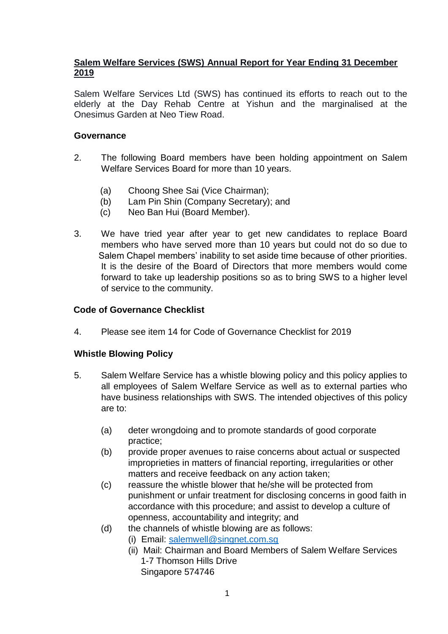# **Salem Welfare Services (SWS) Annual Report for Year Ending 31 December 2019**

Salem Welfare Services Ltd (SWS) has continued its efforts to reach out to the elderly at the Day Rehab Centre at Yishun and the marginalised at the Onesimus Garden at Neo Tiew Road.

#### **Governance**

- 2. The following Board members have been holding appointment on Salem Welfare Services Board for more than 10 years.
	- (a) Choong Shee Sai (Vice Chairman);
	- (b) Lam Pin Shin (Company Secretary); and
	- (c) Neo Ban Hui (Board Member).
- 3. We have tried year after year to get new candidates to replace Board members who have served more than 10 years but could not do so due to Salem Chapel members' inability to set aside time because of other priorities. It is the desire of the Board of Directors that more members would come forward to take up leadership positions so as to bring SWS to a higher level of service to the community.

### **Code of Governance Checklist**

4. Please see item 14 for Code of Governance Checklist for 2019

### **Whistle Blowing Policy**

- 5. Salem Welfare Service has a whistle blowing policy and this policy applies to all employees of Salem Welfare Service as well as to external parties who have business relationships with SWS. The intended objectives of this policy are to:
	- (a) deter wrongdoing and to promote standards of good corporate practice;
	- (b) provide proper avenues to raise concerns about actual or suspected improprieties in matters of financial reporting, irregularities or other matters and receive feedback on any action taken;
	- (c) reassure the whistle blower that he/she will be protected from punishment or unfair treatment for disclosing concerns in good faith in accordance with this procedure; and assist to develop a culture of openness, accountability and integrity; and
	- (d) the channels of whistle blowing are as follows:
		- (i) Email: [salemwell@singnet.com.sg](mailto:salemwell@singnet.com.sg)
			- (ii) Mail: Chairman and Board Members of Salem Welfare Services 1-7 Thomson Hills Drive Singapore 574746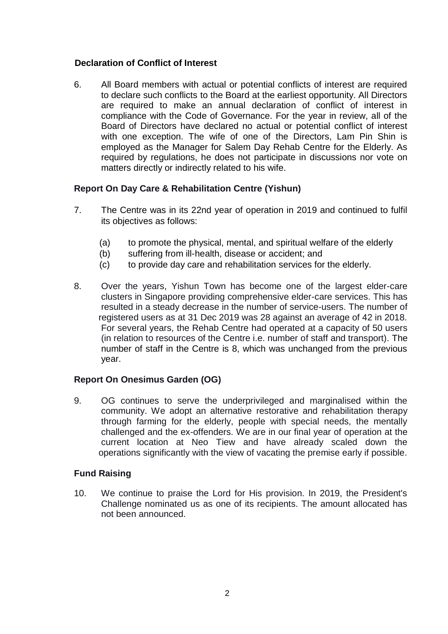## **Declaration of Conflict of Interest**

6. All Board members with actual or potential conflicts of interest are required to declare such conflicts to the Board at the earliest opportunity. All Directors are required to make an annual declaration of conflict of interest in compliance with the Code of Governance. For the year in review, all of the Board of Directors have declared no actual or potential conflict of interest with one exception. The wife of one of the Directors, Lam Pin Shin is employed as the Manager for Salem Day Rehab Centre for the Elderly. As required by regulations, he does not participate in discussions nor vote on matters directly or indirectly related to his wife.

## **Report On Day Care & Rehabilitation Centre (Yishun)**

- 7. The Centre was in its 22nd year of operation in 2019 and continued to fulfil its objectives as follows:
	- (a) to promote the physical, mental, and spiritual welfare of the elderly
	- (b) suffering from ill-health, disease or accident; and
	- (c) to provide day care and rehabilitation services for the elderly.
- 8. Over the years, Yishun Town has become one of the largest elder-care clusters in Singapore providing comprehensive elder-care services. This has resulted in a steady decrease in the number of service-users. The number of registered users as at 31 Dec 2019 was 28 against an average of 42 in 2018. For several years, the Rehab Centre had operated at a capacity of 50 users (in relation to resources of the Centre i.e. number of staff and transport). The number of staff in the Centre is 8, which was unchanged from the previous year.

### **Report On Onesimus Garden (OG)**

9. OG continues to serve the underprivileged and marginalised within the community. We adopt an alternative restorative and rehabilitation therapy through farming for the elderly, people with special needs, the mentally challenged and the ex-offenders. We are in our final year of operation at the current location at Neo Tiew and have already scaled down the operations significantly with the view of vacating the premise early if possible.

### **Fund Raising**

10. We continue to praise the Lord for His provision. In 2019, the President's Challenge nominated us as one of its recipients. The amount allocated has not been announced.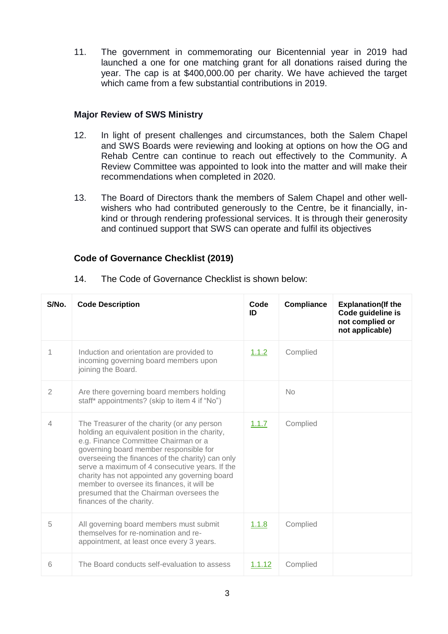11. The government in commemorating our Bicentennial year in 2019 had launched a one for one matching grant for all donations raised during the year. The cap is at \$400,000.00 per charity. We have achieved the target which came from a few substantial contributions in 2019.

## **Major Review of SWS Ministry**

- 12. In light of present challenges and circumstances, both the Salem Chapel and SWS Boards were reviewing and looking at options on how the OG and Rehab Centre can continue to reach out effectively to the Community. A Review Committee was appointed to look into the matter and will make their recommendations when completed in 2020.
- 13. The Board of Directors thank the members of Salem Chapel and other wellwishers who had contributed generously to the Centre, be it financially, inkind or through rendering professional services. It is through their generosity and continued support that SWS can operate and fulfil its objectives

## **Code of Governance Checklist (2019)**

| S/No.          | <b>Code Description</b>                                                                                                                                                                                                                                                                                                                                                                                                                                     | Code<br>ID    | <b>Compliance</b> | <b>Explanation(If the</b><br>Code guideline is<br>not complied or<br>not applicable) |
|----------------|-------------------------------------------------------------------------------------------------------------------------------------------------------------------------------------------------------------------------------------------------------------------------------------------------------------------------------------------------------------------------------------------------------------------------------------------------------------|---------------|-------------------|--------------------------------------------------------------------------------------|
| 1              | Induction and orientation are provided to<br>incoming governing board members upon<br>joining the Board.                                                                                                                                                                                                                                                                                                                                                    | 1.1.2         | Complied          |                                                                                      |
| $\overline{2}$ | Are there governing board members holding<br>staff* appointments? (skip to item 4 if "No")                                                                                                                                                                                                                                                                                                                                                                  |               | <b>No</b>         |                                                                                      |
| 4              | The Treasurer of the charity (or any person<br>holding an equivalent position in the charity,<br>e.g. Finance Committee Chairman or a<br>governing board member responsible for<br>overseeing the finances of the charity) can only<br>serve a maximum of 4 consecutive years. If the<br>charity has not appointed any governing board<br>member to oversee its finances, it will be<br>presumed that the Chairman oversees the<br>finances of the charity. | 1.1.7         | Complied          |                                                                                      |
| 5              | All governing board members must submit<br>themselves for re-nomination and re-<br>appointment, at least once every 3 years.                                                                                                                                                                                                                                                                                                                                | 1.1.8         | Complied          |                                                                                      |
| 6              | The Board conducts self-evaluation to assess                                                                                                                                                                                                                                                                                                                                                                                                                | <u>1.1.12</u> | Complied          |                                                                                      |

14. The Code of Governance Checklist is shown below: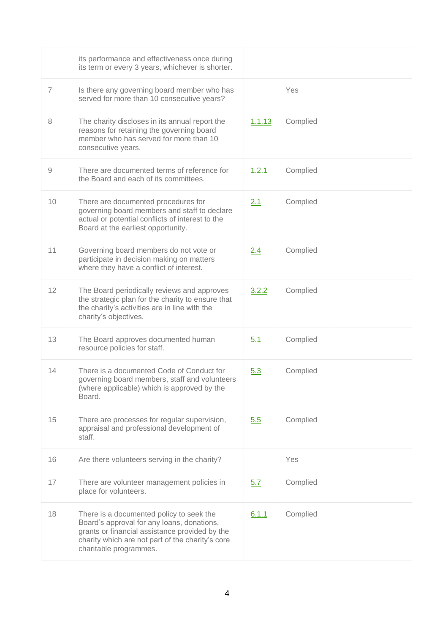|                | its performance and effectiveness once during<br>its term or every 3 years, whichever is shorter.                                                                                                                      |            |          |  |
|----------------|------------------------------------------------------------------------------------------------------------------------------------------------------------------------------------------------------------------------|------------|----------|--|
| $\overline{7}$ | Is there any governing board member who has<br>served for more than 10 consecutive years?                                                                                                                              |            | Yes      |  |
| 8              | The charity discloses in its annual report the<br>reasons for retaining the governing board<br>member who has served for more than 10<br>consecutive years.                                                            | 1.1.13     | Complied |  |
| 9              | There are documented terms of reference for<br>the Board and each of its committees.                                                                                                                                   | 1.2.1      | Complied |  |
| 10             | There are documented procedures for<br>governing board members and staff to declare<br>actual or potential conflicts of interest to the<br>Board at the earliest opportunity.                                          | 2.1        | Complied |  |
| 11             | Governing board members do not vote or<br>participate in decision making on matters<br>where they have a conflict of interest.                                                                                         | 2.4        | Complied |  |
| 12             | The Board periodically reviews and approves<br>the strategic plan for the charity to ensure that<br>the charity's activities are in line with the<br>charity's objectives.                                             | 3.2.2      | Complied |  |
| 13             | The Board approves documented human<br>resource policies for staff.                                                                                                                                                    | 5.1        | Complied |  |
| 14             | There is a documented Code of Conduct for<br>governing board members, staff and volunteers<br>(where applicable) which is approved by the<br>Board.                                                                    | 5.3        | Complied |  |
| 15             | There are processes for regular supervision,<br>appraisal and professional development of<br>staff.                                                                                                                    | 5.5        | Complied |  |
| 16             | Are there volunteers serving in the charity?                                                                                                                                                                           |            | Yes      |  |
| 17             | There are volunteer management policies in<br>place for volunteers.                                                                                                                                                    | <u>5.7</u> | Complied |  |
| 18             | There is a documented policy to seek the<br>Board's approval for any loans, donations,<br>grants or financial assistance provided by the<br>charity which are not part of the charity's core<br>charitable programmes. | 6.1.1      | Complied |  |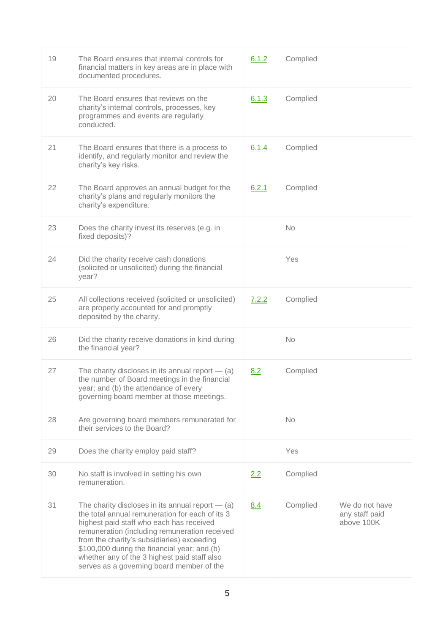| 19 | The Board ensures that internal controls for<br>financial matters in key areas are in place with<br>documented procedures.                                                                                                                                                                                                                                                                    | 6.1.2 | Complied  |                                                |
|----|-----------------------------------------------------------------------------------------------------------------------------------------------------------------------------------------------------------------------------------------------------------------------------------------------------------------------------------------------------------------------------------------------|-------|-----------|------------------------------------------------|
| 20 | The Board ensures that reviews on the<br>charity's internal controls, processes, key<br>programmes and events are regularly<br>conducted.                                                                                                                                                                                                                                                     | 6.1.3 | Complied  |                                                |
| 21 | The Board ensures that there is a process to<br>identify, and regularly monitor and review the<br>charity's key risks.                                                                                                                                                                                                                                                                        | 6.1.4 | Complied  |                                                |
| 22 | The Board approves an annual budget for the<br>charity's plans and regularly monitors the<br>charity's expenditure.                                                                                                                                                                                                                                                                           | 6.2.1 | Complied  |                                                |
| 23 | Does the charity invest its reserves (e.g. in<br>fixed deposits)?                                                                                                                                                                                                                                                                                                                             |       | <b>No</b> |                                                |
| 24 | Did the charity receive cash donations<br>(solicited or unsolicited) during the financial<br>year?                                                                                                                                                                                                                                                                                            |       | Yes       |                                                |
| 25 | All collections received (solicited or unsolicited)<br>are properly accounted for and promptly<br>deposited by the charity.                                                                                                                                                                                                                                                                   | 7.2.2 | Complied  |                                                |
| 26 | Did the charity receive donations in kind during<br>the financial year?                                                                                                                                                                                                                                                                                                                       |       | <b>No</b> |                                                |
| 27 | The charity discloses in its annual report $-$ (a)<br>the number of Board meetings in the financial<br>year; and (b) the attendance of every<br>governing board member at those meetings.                                                                                                                                                                                                     | 8.2   | Complied  |                                                |
| 28 | Are governing board members remunerated for<br>their services to the Board?                                                                                                                                                                                                                                                                                                                   |       | No.       |                                                |
| 29 | Does the charity employ paid staff?                                                                                                                                                                                                                                                                                                                                                           |       | Yes       |                                                |
| 30 | No staff is involved in setting his own<br>remuneration.                                                                                                                                                                                                                                                                                                                                      | 2.2   | Complied  |                                                |
| 31 | The charity discloses in its annual report $-$ (a)<br>the total annual remuneration for each of its 3<br>highest paid staff who each has received<br>remuneration (including remuneration received<br>from the charity's subsidiaries) exceeding<br>\$100,000 during the financial year; and (b)<br>whether any of the 3 highest paid staff also<br>serves as a governing board member of the | 8.4   | Complied  | We do not have<br>any staff paid<br>above 100K |